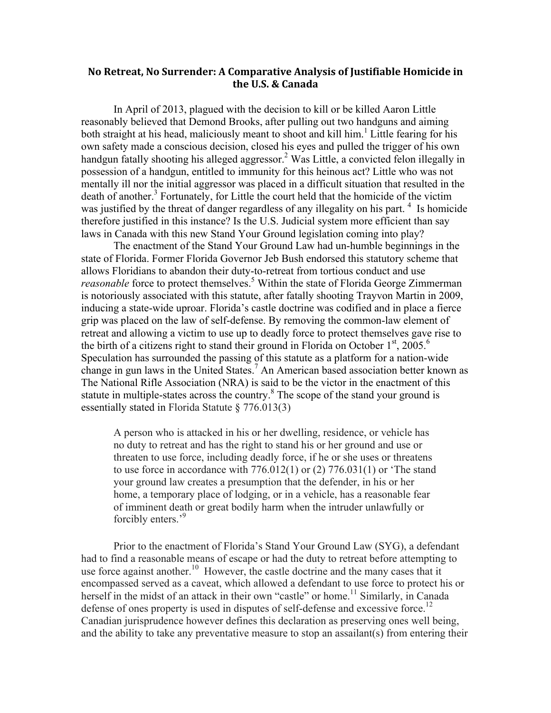## **No Retreat, No Surrender: A Comparative Analysis of Justifiable Homicide in** the U.S. & Canada

In April of 2013, plagued with the decision to kill or be killed Aaron Little reasonably believed that Demond Brooks, after pulling out two handguns and aiming both straight at his head, maliciously meant to shoot and kill him.<sup>1</sup> Little fearing for his own safety made a conscious decision, closed his eyes and pulled the trigger of his own handgun fatally shooting his alleged aggressor. <sup>2</sup> Was Little, a convicted felon illegally in possession of a handgun, entitled to immunity for this heinous act? Little who was not mentally ill nor the initial aggressor was placed in a difficult situation that resulted in the death of another. <sup>3</sup> Fortunately, for Little the court held that the homicide of the victim was justified by the threat of danger regardless of any illegality on his part.  $4\,$  Is homicide therefore justified in this instance? Is the U.S. Judicial system more efficient than say laws in Canada with this new Stand Your Ground legislation coming into play?

The enactment of the Stand Your Ground Law had un-humble beginnings in the state of Florida. Former Florida Governor Jeb Bush endorsed this statutory scheme that allows Floridians to abandon their duty-to-retreat from tortious conduct and use *reasonable* force to protect themselves. <sup>5</sup> Within the state of Florida George Zimmerman is notoriously associated with this statute, after fatally shooting Trayvon Martin in 2009, inducing a state-wide uproar. Florida's castle doctrine was codified and in place a fierce grip was placed on the law of self-defense. By removing the common-law element of retreat and allowing a victim to use up to deadly force to protect themselves gave rise to the birth of a citizens right to stand their ground in Florida on October  $1<sup>st</sup>$ , 2005.<sup>6</sup> Speculation has surrounded the passing of this statute as a platform for a nation-wide change in gun laws in the United States.<sup>7</sup> An American based association better known as The National Rifle Association (NRA) is said to be the victor in the enactment of this statute in multiple-states across the country.<sup>8</sup> The scope of the stand your ground is essentially stated in Florida Statute § 776.013(3)

A person who is attacked in his or her dwelling, residence, or vehicle has no duty to retreat and has the right to stand his or her ground and use or threaten to use force, including deadly force, if he or she uses or threatens to use force in accordance with 776.012(1) or (2) 776.031(1) or 'The stand your ground law creates a presumption that the defender, in his or her home, a temporary place of lodging, or in a vehicle, has a reasonable fear of imminent death or great bodily harm when the intruder unlawfully or forcibly enters.'<sup>9</sup>

Prior to the enactment of Florida's Stand Your Ground Law (SYG), a defendant had to find a reasonable means of escape or had the duty to retreat before attempting to use force against another.<sup>10</sup> However, the castle doctrine and the many cases that it encompassed served as a caveat, which allowed a defendant to use force to protect his or herself in the midst of an attack in their own "castle" or home.<sup>11</sup> Similarly, in Canada defense of ones property is used in disputes of self-defense and excessive force.<sup>12</sup> Canadian jurisprudence however defines this declaration as preserving ones well being, and the ability to take any preventative measure to stop an assailant(s) from entering their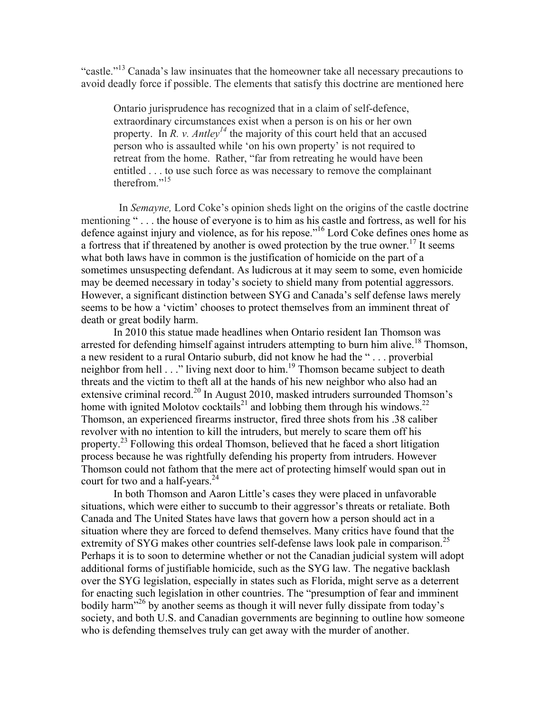"castle."<sup>13</sup> Canada's law insinuates that the homeowner take all necessary precautions to avoid deadly force if possible. The elements that satisfy this doctrine are mentioned here

Ontario jurisprudence has recognized that in a claim of self-defence, extraordinary circumstances exist when a person is on his or her own property. In *R. v. Antley*<sup>14</sup> the majority of this court held that an accused person who is assaulted while 'on his own property' is not required to retreat from the home. Rather, "far from retreating he would have been entitled . . . to use such force as was necessary to remove the complainant therefrom."<sup>15</sup>

In *Semayne,* Lord Coke's opinion sheds light on the origins of the castle doctrine mentioning "... the house of everyone is to him as his castle and fortress, as well for his defence against injury and violence, as for his repose." <sup>16</sup> Lord Coke defines ones home as a fortress that if threatened by another is owed protection by the true owner.<sup>17</sup> It seems what both laws have in common is the justification of homicide on the part of a sometimes unsuspecting defendant. As ludicrous at it may seem to some, even homicide may be deemed necessary in today's society to shield many from potential aggressors. However, a significant distinction between SYG and Canada's self defense laws merely seems to be how a 'victim' chooses to protect themselves from an imminent threat of death or great bodily harm.

In 2010 this statue made headlines when Ontario resident Ian Thomson was arrested for defending himself against intruders attempting to burn him alive.<sup>18</sup> Thomson, a new resident to a rural Ontario suburb, did not know he had the " . . . proverbial neighbor from hell . . ." living next door to him.<sup>19</sup> Thomson became subject to death threats and the victim to theft all at the hands of his new neighbor who also had an extensive criminal record.<sup>20</sup> In August 2010, masked intruders surrounded Thomson's home with ignited Molotov cocktails<sup>21</sup> and lobbing them through his windows.<sup>22</sup> Thomson, an experienced firearms instructor, fired three shots from his .38 caliber revolver with no intention to kill the intruders, but merely to scare them off his property.<sup>23</sup> Following this ordeal Thomson, believed that he faced a short litigation process because he was rightfully defending his property from intruders. However Thomson could not fathom that the mere act of protecting himself would span out in court for two and a half-years.<sup>24</sup>

In both Thomson and Aaron Little's cases they were placed in unfavorable situations, which were either to succumb to their aggressor's threats or retaliate. Both Canada and The United States have laws that govern how a person should act in a situation where they are forced to defend themselves. Many critics have found that the extremity of SYG makes other countries self-defense laws look pale in comparison.<sup>25</sup> Perhaps it is to soon to determine whether or not the Canadian judicial system will adopt additional forms of justifiable homicide, such as the SYG law. The negative backlash over the SYG legislation, especially in states such as Florida, might serve as a deterrent for enacting such legislation in other countries. The "presumption of fear and imminent bodily harm<sup>326</sup> by another seems as though it will never fully dissipate from today's society, and both U.S. and Canadian governments are beginning to outline how someone who is defending themselves truly can get away with the murder of another.